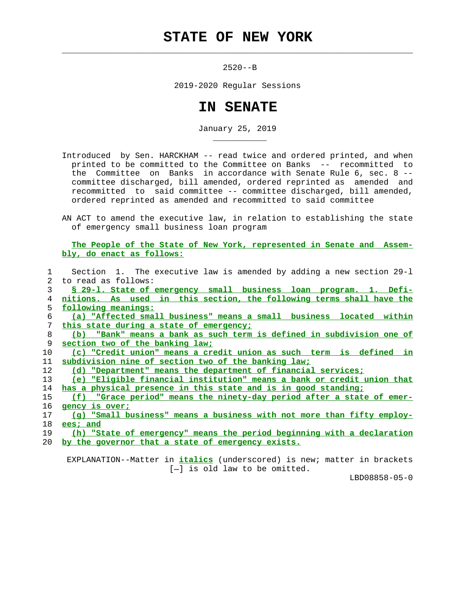## **STATE OF NEW YORK**

 $\mathcal{L}_\text{max} = \frac{1}{2} \sum_{i=1}^{n} \frac{1}{2} \sum_{i=1}^{n} \frac{1}{2} \sum_{i=1}^{n} \frac{1}{2} \sum_{i=1}^{n} \frac{1}{2} \sum_{i=1}^{n} \frac{1}{2} \sum_{i=1}^{n} \frac{1}{2} \sum_{i=1}^{n} \frac{1}{2} \sum_{i=1}^{n} \frac{1}{2} \sum_{i=1}^{n} \frac{1}{2} \sum_{i=1}^{n} \frac{1}{2} \sum_{i=1}^{n} \frac{1}{2} \sum_{i=1}^{n} \frac{1$ 

\_\_\_\_\_\_\_\_\_\_\_

2520--B

2019-2020 Regular Sessions

## **IN SENATE**

January 25, 2019

- Introduced by Sen. HARCKHAM -- read twice and ordered printed, and when printed to be committed to the Committee on Banks -- recommitted to the Committee on Banks in accordance with Senate Rule 6, sec. 8 - committee discharged, bill amended, ordered reprinted as amended and recommitted to said committee -- committee discharged, bill amended, ordered reprinted as amended and recommitted to said committee
- AN ACT to amend the executive law, in relation to establishing the state of emergency small business loan program

 **The People of the State of New York, represented in Senate and Assem bly, do enact as follows:**

|             | Section 1. The executive law is amended by adding a new section 29-1         |
|-------------|------------------------------------------------------------------------------|
| $2^{\circ}$ | to read as follows:                                                          |
| 3           | § 29-1. State of emergency small business loan program. 1. Defi-             |
| 4           | nitions. As used in this section, the following terms shall have the         |
| 5.          | following meanings:                                                          |
| 6           | (a) "Affected small business" means a small business located within          |
| 7           | this state during a state of emergency:                                      |
| 8           | (b) "Bank" means a bank as such term is defined in subdivision one of        |
| 9           | section two of the banking law;                                              |
| 10          | (c) "Credit union" means a credit union as such term is defined in           |
| 11          | subdivision nine of section two of the banking law:                          |
| 12          | (d) "Department" means the department of financial services;                 |
| 13          | (e) "Eligible financial institution" means a bank or credit union that       |
| 14          | has a physical presence in this state and is in good standing;               |
| 15          | <u>(f) "Grace period" means the ninety-day period after a state of emer-</u> |
| 16          | gency is over;                                                               |
| 17          | (q) "Small business" means a business with not more than fifty employ-       |
| 18          | ees; and                                                                     |
| 19          | (h) "State of emergency" means the period beginning with a declaration       |
| 20          | by the governor that a state of emergency exists.                            |
|             |                                                                              |

 EXPLANATION--Matter in **italics** (underscored) is new; matter in brackets  $[-]$  is old law to be omitted.

LBD08858-05-0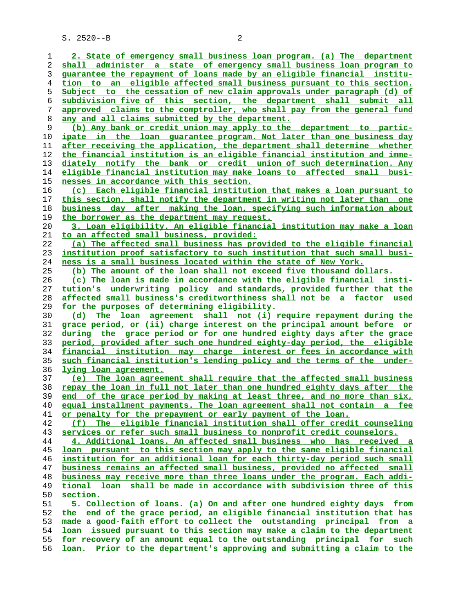S. 2520--B 2

**2. State of emergency small business loan program. (a) The department shall administer a state of emergency small business loan program to guarantee the repayment of loans made by an eligible financial institu- tion to an eligible affected small business pursuant to this section. Subject to the cessation of new claim approvals under paragraph (d) of subdivision five of this section, the department shall submit all approved claims to the comptroller, who shall pay from the general fund any and all claims submitted by the department. (b) Any bank or credit union may apply to the department to partic- ipate in the loan guarantee program. Not later than one business day after receiving the application, the department shall determine whether the financial institution is an eligible financial institution and imme- diately notify the bank or credit union of such determination. Any eligible financial institution may make loans to affected small busi- nesses in accordance with this section. (c) Each eligible financial institution that makes a loan pursuant to this section, shall notify the department in writing not later than one business day after making the loan, specifying such information about the borrower as the department may request. 3. Loan eligibility. An eligible financial institution may make a loan to an affected small business, provided: (a) The affected small business has provided to the eligible financial institution proof satisfactory to such institution that such small busi- ness is a small business located within the state of New York. (b) The amount of the loan shall not exceed five thousand dollars. (c) The loan is made in accordance with the eligible financial insti- tution's underwriting policy and standards, provided further that the affected small business's creditworthiness shall not be a factor used for the purposes of determining eligibility. (d) The loan agreement shall not (i) require repayment during the grace period, or (ii) charge interest on the principal amount before or during the grace period or for one hundred eighty days after the grace period, provided after such one hundred eighty-day period, the eligible financial institution may charge interest or fees in accordance with such financial institution's lending policy and the terms of the under- lying loan agreement. (e) The loan agreement shall require that the affected small business repay the loan in full not later than one hundred eighty days after the end of the grace period by making at least three, and no more than six, equal installment payments. The loan agreement shall not contain a fee or penalty for the prepayment or early payment of the loan. (f) The eligible financial institution shall offer credit counseling services or refer such small business to nonprofit credit counselors. 4. Additional loans. An affected small business who has received a loan pursuant to this section may apply to the same eligible financial institution for an additional loan for each thirty-day period such small business remains an affected small business, provided no affected small business may receive more than three loans under the program. Each addi- tional loan shall be made in accordance with subdivision three of this section. 5. Collection of loans. (a) On and after one hundred eighty days from the end of the grace period, an eligible financial institution that has made a good-faith effort to collect the outstanding principal from a loan issued pursuant to this section may make a claim to the department for recovery of an amount equal to the outstanding principal for such loan. Prior to the department's approving and submitting a claim to the**